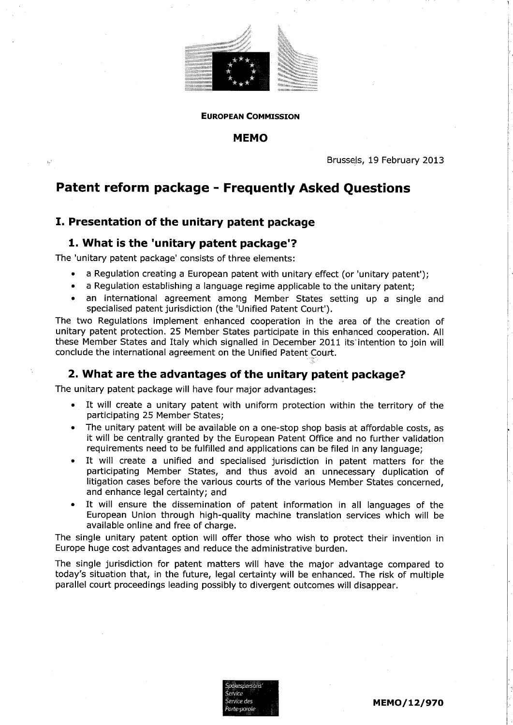

#### EUROPEAN COMMISSION

#### MEMO

Brussels, 19 February 2013

# Patent reform package - Frequently Asked Questions

## I. Presentation of the unitary patent package

### 1. What is the 'unitary patent package'?

The 'unitary patent package' consists of three elements:

- a Regulation creating a European patent with unitary effect (or 'unitary patent');
- · a Regulation establishing a language regime applicable to the unitary patent;
- · an international agreement among Member States setting up a single and specialised patent jurisdiction (the 'Unified Patent Court').

The two Regulations implement enhanced cooperation in the area of the creation of unitary patent protection. 25 Member States participate in this enhanced cooperation. All these Member States and Italy which signalled in December 2011 its intention to join will conclude the international agreement on the Unified Patent Court.

### 2. What are the advantages of the unitary patent package?

The unitary patent package will have four major advantages:

- · It will create a unitary patent with uniform protection within the territory of the participating 25 Member States;
- The unitary patent will be available on a one-stop shop basis at affordable costs, as it will be centrally granted by the European Patent Office and no further validation requirements need to be fulfilled and applications can be filed in any language;
- It will create a unified and specialised jurisdiction in patent matters for the participating Member States, and thus avoid an unnecessary duplication of litigation cases before the various courts of the various Member States concerned, and enhance legal certainty; and
- It will ensure the dissemination of patent information in all languages of the European Union through high-quality machine translation services which will be available online and free of charge.

The single unitary patent option will offer those who wish to protect their invention in Europe huge cost advantages and reduce the administrative burden.

The single jurisdiction for patent matters will have the major advantage compared to today's situation that, in the future, legal certainty will be enhanced. The risk of multiple parallel court proceedings leading possibly to divergent outcomes will disappear.

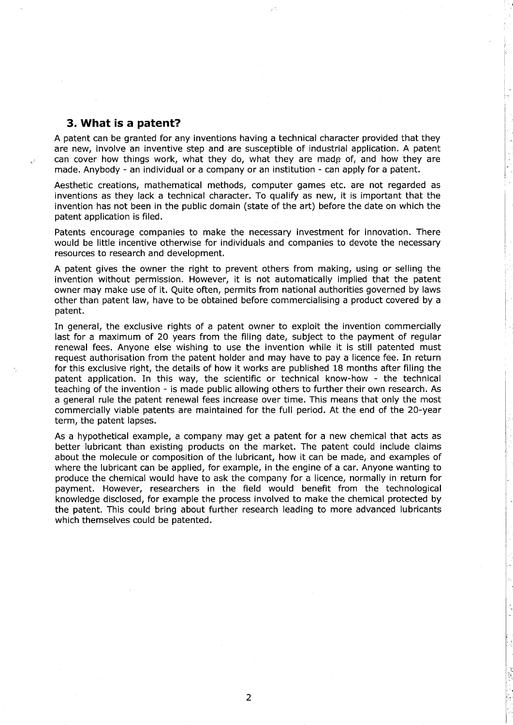#### 3. What is a patent?

A patent can be granted for any inventions having a technical character provided that they are new, involve an inventive step and are susceptible of industrial application. A patent can cover how things work, what they do, what they are made of, and how they are made. Anybody - an individual or a company or an institution - can apply for a patent.

, ;

,',

Aesthetic creations, mathematical methods, computer games etc. are not regarded as inventions as they lack a technical character. To qualify as new, it is important that the invention has not been in the public domain (state of the art) before the date on which the patent application is filed.

Patents encourage companies to make the necessary investment for innovation. There would be little incentive otherwise for individuals and companies to devote the necessary resources to research and development.

A patent gives the owner the right to prevent others from making, using or selling the invention without permission. However, it is not automatically implied that the patent owner may make use of it. Quite often, permits from national authorities governed by laws other than patent law, have to be obtained before commercialising a product covered by a patent.

In general, the exclusive rights of a patent owner to exploit the invention commercially last for a maximum of 20 years from the filing date, subject to the payment of regular renewal fees. Anyone else wishing to use the invention while it is still patented must request authorisation from the patent holder and may have to pay a licence fee. In return for this exclusive right, the details of how it works are published 18 months after filing the patent application. In this way, the scientific or technical know-how - the technical teaching of the invention - is made public allowing others to further their own research. As a general rule the patent renewal fees increase over time. This means that only the most commercially viable patents are maintained for the full period. At the end of the 20-year term, the patent lapses.

As a hypothetical example, a company may get a patent for a new chemical that acts as better lubricant than existing products on the market. The patent could include claims about the molecule or composition of the lubricant, how it can be made, and examples of where the lubricant can be applied, for example, in the engine of a car. Anyone wanting to produce the chemical would have to ask the company for a licence, normally in return for payment. However, researchers in the field would benefit from the technological knowledge disclosed, for example the process involved to make the chemical protected by the patent. This could bring about further research leading to more advanced lubricants which themselves could be patented.

2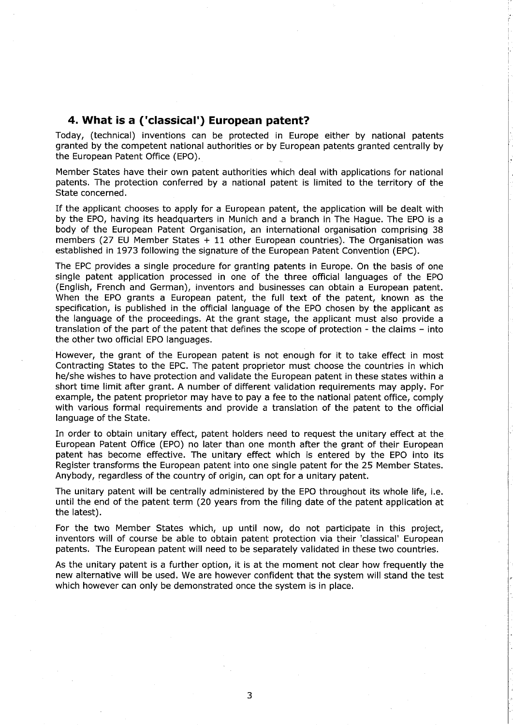#### 4. What is a ('classical) European patent?

Today, (technical) inventions can be protected in Europe either by national patents granted by the competent national authorities or by European patents granted centrally by the European Patent Office (EPO).

Member States have their own patent authorities which deal with applications for national patents. The protection conferred by a national patent is limited to the territory of the State concerned.

If the applicant chooses to apply for a European patent, the application will be dealt with by the EPO, having its headquarters in Munich and a branch in The Hague. The EPO is a body of the European Patent Organisation, an international organisation comprising 38 members (27 EU Member States + 11 other European countries). The Organisation was established in 1973 following the signature of the European Patent Convention (EPC).

The EPC provides a single procedure for granting patents in Europe. On the basis of one single patent application processed in one of the three official languages of the EPO (English, French and German), inventors and businesses can obtain a European patent. When the EPO grants a European patent, the full text of the patent, known as the specification, is published in the official language of the EPO chosen by the applicant as the language of the proceedings. At the grant stage, the applicant must also provide a translation of the part of the patent that defines the scope of protection - the claims - into the other two official EPO languages.

However, the grant of the European patent is not enough for it to take effect in most Contracting States to the EPC. The patent proprietor must choose the countries in which he/she wishes to have protection and validate the. European patent in these states within a short time limit after grant. A number of different validation requirements may apply. For example, the patent proprietor may have to pay a fee to the national patent office, comply with various formal requirements and provide a translation of the patent to the official language of the State.

In order to obtain unitary effect, patent holders need to request the unitary effect at the European Patent Office (EPO) no later than one month after the grant of their European patent has become effective. The unitary effect which is entered by the EPO into its Register transforms the European patent into one single patent for the 25 Member States. Anybody, regardless of the country of origin, can opt for a unitary patent.

The unitary patent will be centrally administered by the EPO throughout its whole life, i.e. until the end of the patent term (20 years from the filing date of the patent application at the latest).

For the two Member States which, up until now, do not participate in this project, inventors will of course be able to obtain patent protection via their 'classical' European patents. The European patent will need to be separately validated in these two countries.

As the unitary patent is a further option, it is at the moment not clear how frequently the new alternative will be used. We are however confident that the system will stand the test which however can only be demonstrated once the system is in place.

I.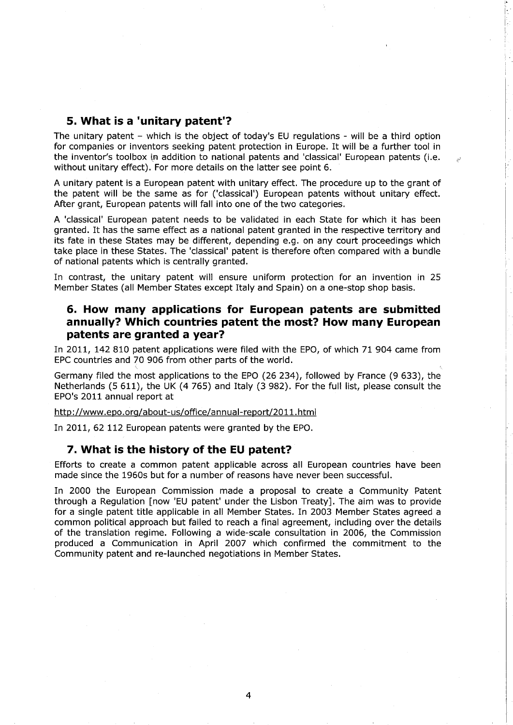#### s. What is a 'unitary patent?

The unitary patent - which is the object of today's EU regulations - will be a third option for companies or inventors seeking patent protection in Europe. It will be a further tool in the inventor's toolbox in addition to national patents and 'classical' European patents (i.e. without unitary effect). For more details on the latter see point 6.

A unitary patent is a European patent with unitary effect. The procedure up to the grant of the patent will be the same as for ('classical') European patents without unitary effect. After grant, European patents will fall into one of the two categories.

A 'classical' European patent needs to be validated in each State for which it has been granted. It has the same effect as a national patent granted in the respective territory and its fate in these States may be different, depending e.g. on any court proceedings which take place in these States. The 'classical' patent is therefore often compared with a bundle of national patents which is centrally granted.

In contrast, the unitary patent will ensure uniform protection for an invention in 25 Member States (all Member States except Italy and Spain) on a one-stop shop basis.

# 6. How many applications for European patents are submitted annually? Which countries patent the most? How many European patents are granted a year?

In 2011, 142 810 patent applications were filed with the EPO, of which 71 904 came from EPC countries and 70906 from other parts of the world.

Germany filed the most applications to the EPO (26234), followed by France (9 633), the Netherlands (5611), the UK (4765) and Italy (3982). For the full list, please consult the EPO's 2011 annual report at

http://www.epo.org/about-us/office/annual-report/2011.html

In 2011, 62 112 European patents were granted by the EPO.

#### 7. What is the history of the EU patent?

Efforts to create a common patent applicable across all European countries have been made since the 1960s but for a number of reasons have never been successfuL.

In 2000 the European Commission made a proposal to create a Community Patent through a Regulation [now 'EU patent' under the Lisbon Treaty]. The aim was to provide for a single patent title applicable in all Member States. In 2003 Member States agreed a common political approach but failed to reach a final agreement, including over the details of the translation regime. Following a wide-scale consultation in 2006, the Commission produced a Communication in April 2007 which confirmed the commitment to the Community patent and re-Iaunched negotiations in Member States.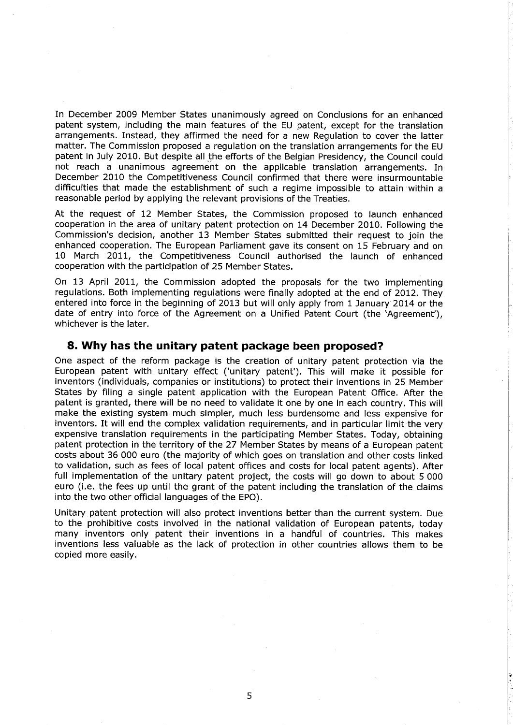In December 2009 Member States unanimously agreed on Conclusions for an enhanced patent system, including the main features of the EU patent, except for the translation arrangements. Instead, they affirmed the need for a new Regulation to cover the latter matter. The Commission proposed a regulation on the translation arrangements for the EU patent in July 2010. But despite all the efforts of the Belgian Presidency, the Council could not reach a unanimous agreement on the applicable translation arrangements. In December 2010 the Competitiveness Council confirmed that there were insurmountable difficulties that made the establishment of such a regime impossible to attain within a reasonable period by applying the relevant provisions of the Treaties.

At the request of 12 Member States, the Commission proposed to launch enhanced cooperation in the area of unitary patent protection on 14 December 2010. Following the Commission's decision, another 13 Member States submitted their request to join the enhanced cooperation. The European Parliament gave its consent on 15 February and on 10 March 2011, the Competitiveness Council authorised the launch of enhanced cooperation with the participation of 25 Member States.

On 13 April 2011, the Commission adopted the proposals for the two implementing regulations. Both implementing regulations were finally adopted at the end of 2012. They entered into force in the beginning of 2013 but will only apply from 1 January 2014 or the date of entry into force of the Agreement on a Unified Patent Court (the 'Agreement'), whichever is the later.

#### 8. Why has the unitary patent package been proposed?

One aspect of the reform package is the creation of unitary patent protection via the European patent with unitary effect ('unitary patent'). This will make it possible for inventors (individuals, companies or institutions) to protect their inventions in 25 Member States by filing a single patent application with the European Patent Office. After the patent is granted, there will be no need to validate it one by one in each country. This will make the existing system much simpler, much less burdensome and less expensive for inventors. It will end the complex validation requirements, and in particular limit the very expensive translation requirements in the participating Member States. Today, obtaining patent protection in the territory of the 27 Member States by means of a European patent costs about 36 000 euro (the majority of which goes on translation and other costs linked to validation, such as fees of local patent offices and costs for local patent agents). After full implementation of the unitary patent project, the costs will go down to about 5 000 euro (i.e. the fees up until the grant of the patent including the translation of the claims into the two other official languages of the EPO).

Unitary patent protection will also protect inventions better than the current system. Due to the prohibitive costs involved in the national validation of European patents, today many inventors only patent their inventions in a handful of countries. This makes inventions less valuable as the lack of protection in other countries allows them to be copied more easily.

'.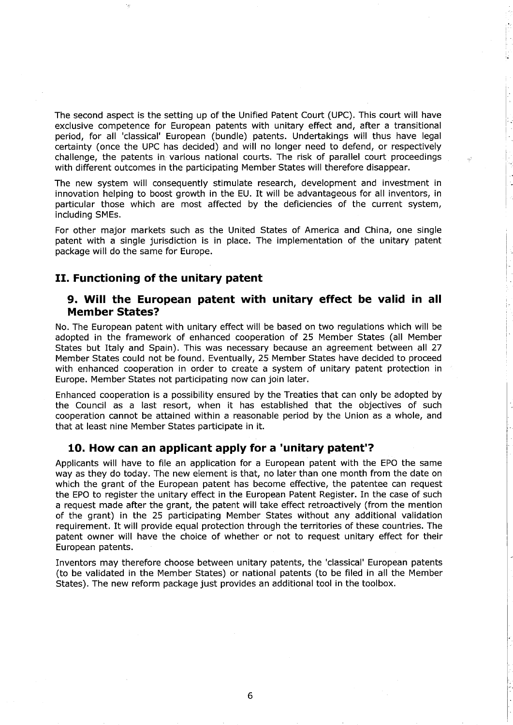The second aspect is the setting up of the Unified Patent Court (UPC). This court will have exclusive competence for European patents with unitary effect and, after a transitional period, for all 'classical' European (bundle) patents. Undertakings will thus have legal certainty (once the UPC has decided) and will no longer need to defend, or respectively challenge, the patents in various national courts. The risk of parallel court proceedings with different outcomes in the participating Member States will therefore disappear.

The new system will consequently stimulate research, development and investment in innovation helping to boost growth in the EU. It will be advantageous for all inventors, in particular those which are most affected by the deficiencies of the current system, including SMEs.

For other major markets such as the United States of America and China, one single patent with a single jurisdiction is in place. The implementation of the unitary patent package will do the same for Europe.

#### II. Functioning of the unitary patent

## 9. Will the European patent with unitary effect be valid in all Member States?

No. The European patent with unitary effect will be based on two regulations which will be adopted in the framework of enhanced cooperation of 25 Member States (all Member States but Italy and Spain). This was necessary because an agreement between all 27 Member States could not be found. Eventually, 25 Member States have decided to proceed with enhanced cooperation in order to create a system of unitary patent protection in Europe. Member States not participating now can join later.

Enhanced cooperation is a possibility ensured by the Treaties that can only be adopted by the Council as a last resort, when it has established that the objectives of such cooperation cannot be attained within a reasonable period by the Union as a whole, and that at least nine Member States participate in it.

#### 10. How can an applicant apply for a 'unitary patent?

Applicants will have to file an application for a European patent with the EPO the same way as they do today. The new element is that, no later than one month from the date on which the grant of the European patent has become effective, the patentee can request the EPO to register the unitary effect in the European Patent Register. In the case of such a request made after the grant, the patent will take effect retroactively (from the mention of the grant) in the 25 participating Member States without any additional validation requirement. It will provide equal protection through the territories of these countries. The patent owner will have the choice of whether or not to request unitary effect for their European patents.

Inventors may therefore choose between unitary patents, the 'classical' European patents (to be validated in the Member States) or national patents (to be filed in all the Member States). The new reform package just provides an additional tool in the toolbox.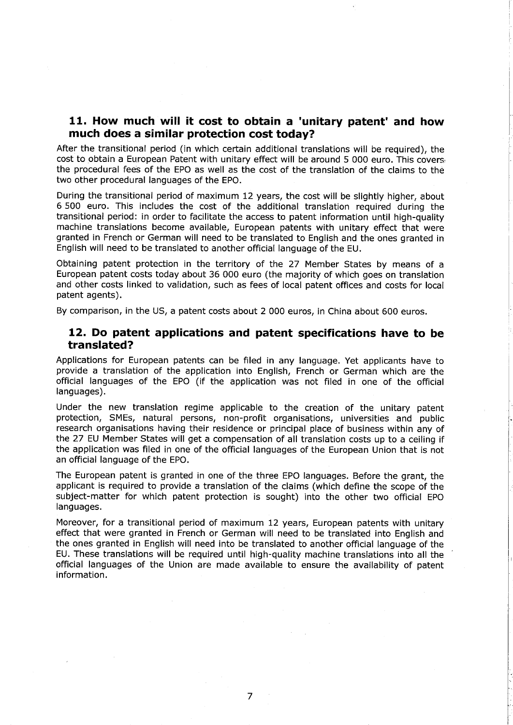## 11. How much will it cost to obtain a 'unitary patent' and how much does a similar protection cost today?

After the transitional period (in which certain additional translations will be required), the cost to obtain a European Patent with unitary effect will be around 5 000 euro. This covers, the procedural fees of the EPO as well as the cost of the translation of the claims to the two other procedural languages of the EPO.

During the transitional period of maximum 12 years, the cost will be slightly higher, about 6 500 euro. This includes the cost of the additional translation required during the transitional period: in order to facilitate the access to patent information until high-quality machine translations become available, European patents with unitary effect that were granted in French or German will need to be translated to English and the ones granted in English will need to be translated to another official language of the EU.

Obtaining patent protection in the territory of the 27 Member States by means of a European patent costs today about 36 000 euro (the majority of which goes on translation and other costs linked to validation, such as fees of local patent offices and costs for local patent agents).

By comparison, in the US, a patent costs about 2 000 euros, in China about 600 euros.

## 12. Do patent applications and patent specifications have to be translated?

Applications for European patents can be filed in any language. Yet applicants have to provide a translation of the application into English, French or German which are the official languages of the EPO (if the application was not filed in one of the official languages).

Under the new translation regime applicable to the creation of the unitary patent protection, SMEs, natural persons, non-profit organisations, universities and public research organisations having their residence or principal place of business within any of the 27 EU Member States will get a compensation of all translation costs up to a ceiling if the application was filed in one of the official languages of the European Union that is not an official language of the EPO.

I.

The European patent is granted in one of the three EPO languages. Before the grant, the applicant is required to provide a translation of the claims (which define the scope of the subject-matter for which patent protection is sought) into the other two official EPO languages.

Moreover, for a transitional period of maximum 12 years, European patents with unitary effect that were granted in French or German will need to be translated into English and the ones granted in English will need into be translated to another official language of the EU. These translations will be required until high-quality machine translations into all the official languages of the Union are made available to ensure the availability of patent information.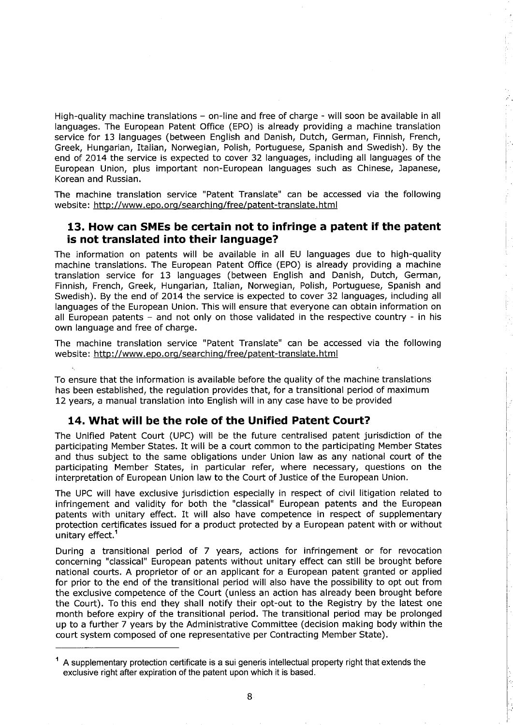High-quality machine translations - on-line and free of charge - will soon be available in all languages. The European Patent Office (EPO) is already providing a machine translation service for 13 languages (between English and Danish, Dutch, German, Finnish, French, Greek, Hungarian, Italian, Norwegian, Polish, Portuguese, Spanish and Swedish). By the end of 2014 the service is expected to cover 32 languages, including all languages of the European Union, plus important non-European languages such as Chinese, Japanese, Korean and Russian.

The machine translation service "Patent Translate" can be accessed via the following website: http://www.epo.org/searching/free/patent-translate.html

#### 13. How can SMEs be certain not to infringe a patent if the patent is not translated into their language?

The information on patents will be available in all EU languages due to high-quality machine translations. The European Patent Office (EPO) is already providing a machine translation service for 13 languages (between English and Danish, Dutch, German, Finnish, French, Greek, Hungarian, Italian, Norwegian, Polish, Portuguese, Spanish and Swedish). By the end of 2014 the service is expected to cover 32 languages, including all languages of the European Union. This will ensure that everyone can obtain information on all European patents  $-$  and not only on those validated in the respective country - in his own language and free of charge.

The machine translation service "Patent Translate" can be accessed via the following website: http://www.epo.org/searching/free/patent-translate.html

To ensure that the information is available before the quality of the machine translations has been established, the regulation provides that, for a transitional period of maximum 12 years, a manual translation into English will in any case have to be provided

#### 14. What will be the role of the Unified Patent Court?

The Unified Patent Court (UPC) will be the future centralised patent jurisdiction of the participating Member States. It will be a court common to the participating Member States and thus subject to the same obligations under Union law as any national court of the participating Member States, in particular refer, where necessary, questions on the interpretation of European Union law to the Court of Justice of the European Union.

The UPC will have exclusive jurisdiction especially in respect of civil litigation related to infringement and validity for both the "classical" European patents and the European patents with unitary effect. It will also have competence in respect of supplementary protection certificates issued for a product protected by a European patent with or without unitary effect.<sup>1</sup>

During a transitional period of 7 years, actions for infringement or for revocation concerning "classical" European patents without unitary effect can still be brought before national courts. A proprietor of or an applicant for a European patent granted or applied for prior to the end of the transitional period will also have the possibility to opt out from the exclusive competence of the Court (unless an action has already been brought before the Court). To this end they shall notify their opt-out to the Registry by the latest one month before expiry of the transitional period. The transitional period may be prolonged up to a further 7 years by the Administrative Committee (decision making body within the court system composed of one representative per Contracting Member State).

<sup>&</sup>lt;sup>1</sup> A supplementary protection certificate is a sui generis intellectual property right that extends the exclusive right after expiration of the patent upon which it is based.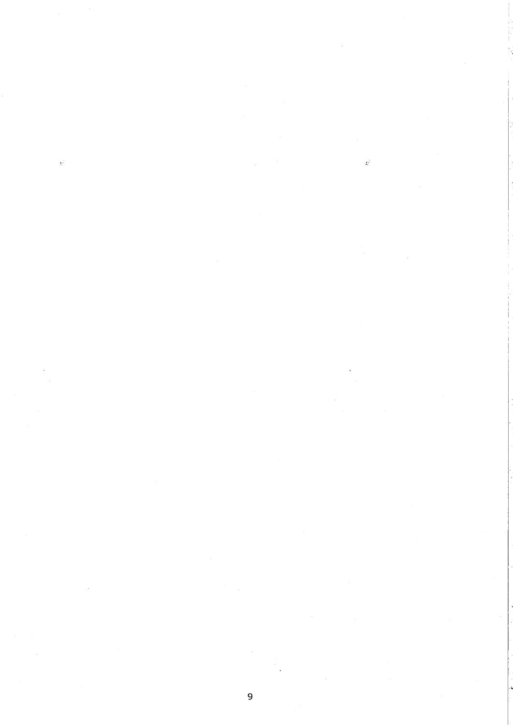

9

,~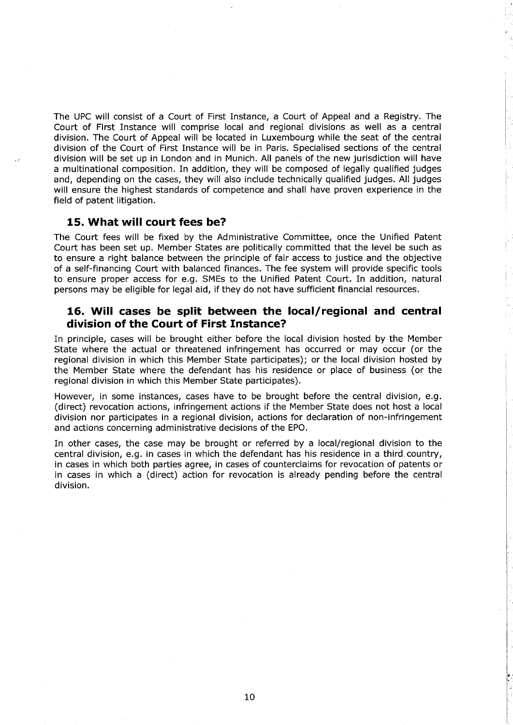The UPC will consist of a Court of First Instance, a Court of Appeal and a Registry. The Court of First Instance will comprise local and regional divisions as well as a central division. The Court of Appeal will be located in Luxembourg while the seat of the central division of the Court of First Instance will be in Paris. Specialised sections of the central division will be set up in London and in Munich. All panels of the new jurisdiction will have a multinational composition. In addition, they will be composed of legally qualified judges and, depending on the cases, they will also include technically qualified judges. All judges will ensure the highest standards of competence and shall have proven experience in the field of patent litigation.

#### 15. What will court fees be?

.J

The Court fees will be fixed by the Administrative Committee, once the Unified Patent Court has been set up. Member States are politically committed that the level be such as to ensure a right balance between the principle of fair access to justice and the objective of a self-financing Court with balanced finances. The fee system will provide specific tools to ensure proper access for e.g. SMEs to the Unified Patent Court. In addition, natural persons may be eligible for legal aid, if they do not have sufficient financial resources.

## 16. Will cases be split between the local/regional and central division of the Court of First Instance?

In principle, cases will be brought either before the local division hosted by the Member State where the actual or threatened infringement has occurred or may occur (or the regional division in which this Member State participates); or the local division hosted by the Member State where the defendant has his residence or place of business (or the regional division in which this Member State participates).

However, in some instances, cases have to be brought before the central division, e.g. (direct) revocation actions, infringement actions if the Member State does not host a local division nor participates in a regional division, actions for declaration of non-infringement and actions concerning administrative decisions of the EPO.

In other cases, the case may be brought or referred by a local/regional division to the central division, e.g. in cases in which the defendant has his residence in a third country, in cases in which both parties agree, in cases of counterclaims for revocation of patents or in cases in which a (direct) action for revocation is already pending before the central division.

I:

l. .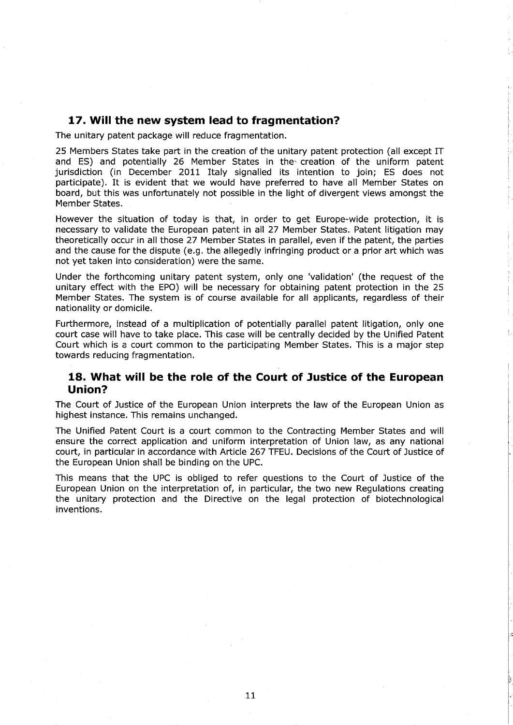#### 17. Will the new system lead to fragmentation?

The unitary patent package will reduce fragmentation.

25 Members States take part in the creation of the unitary patent protection (all except IT and ES) and potentially 26 Member States in the creation of the uniform patent jurisdiction (in December 2011 Italy signalled its intention to join; ES does not participate). It is evident that we would have preferred to have all Member States on board, but this was unfortunately not possible in the light of divergent views amongst the Member States.

However the situation of today is that, in order to get Europe-wide protection, it is necessary to validate the European patent in all 27 Member States. Patent litigation may theoretically occur in all those 27 Member States in parallel, even if the patent, the parties and the cause for the dispute (e.g. the allegedly infringing product or a prior art which was not yet taken into consideration) were the same.

Under the forthcoming unitary patent system, only one 'validation' (the request of the unitary effect with the EPO) will be necessary for obtaining patent protection in the 25 Member States. The system is of course available for all applicants, regardless of their nationality or domicile.

Furthermore, instead of a multiplication of potentially parallel patent litigation, only one court case will have to take place. This case will be centrally decided by the Unified Patent Court which is a court common to the participating Member States. This is a major step towards reducing fragmentation.

## 18. What will be the role of the Court of Justice of the European Union?

The Court of Justice of the European Union interprets the law of the European Union as highest instance. This remains unchanged.

The Unified Patent Court is a court common to the Contracting Member States and will ensure the correct application and uniform interpretation of Union law, as any national court, in particular in accordance with Article 267 TFEU. Decisions of the Court of Justice of the European Union shall be binding on the upc.

This means that the UPC is obliged to refer questions to the Court of Justice of the European Union on the interpretation of, in particular, the two new Regulations creating the unitary protection and the Directive on the legal protection of biotechnological inventions.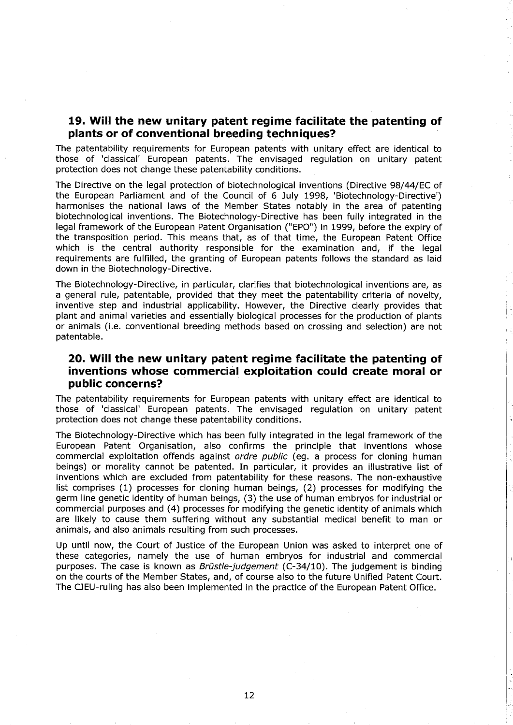### 19. Will the new unitary patent regime facilitate the patenting of plants or of conventional breeding techniques?

The patentability requirements for European patents with unitary effect are identical to those of 'classical' European patents. The envisaged regulation on unitary patent protection does not change these patentability conditions.

The Directive on the legal protection of biotechnological inventions (Directive 98/44/EC of the European Parliament and of the Council of 6 July 1998, 'Biotechnology-Directive') harmonises the national laws of the Member States notably in the area of patenting biotechnological inventions. The Biotechnology-Directive has been fully integrated in the legal framework of the European Patent Organisation ("EPO") in 1999, before the expiry of the transposition period. This means that, as of that time, the European Patent Office which is the central authority responsible for the examination and, if the legal requirements are fulfilled, the granting of European patents follows the standard as laid down in the Biotechnology-Directive.

The Biotechnology-Directive, in particular, clarifies that biotechnological inventions are, as a general rule, patentable, provided that they meet the patentability criteria of novelty, inventive step and industrial applicability. However, the Directive clearly provides that plant and animal varieties and essentially biological processes for the production of plants or animals (i.e. conventional breeding methods based on crossing and selection) are not patentable.

# 20. Will the new unitary patent regime facilitate the patenting of inventions whose commerciàl exploitation could create moral or public concerns?

The patentability requirements for European patents with unitary effect are identical to those of 'classical' European patents. The envisaged regulation on unitary patent protection does not change these patentability conditions.

The Biotechnology-Directive which has been fully integrated in the legal framework of the European Patent Organisation, also confirms the principle that inventions whose commercial exploitation offends against ordre public (eg. a process for cloning human beings) or morality cannot be patented. In particular, it provides an illustrative list of inventions which are excluded from patentability for these reasons. The non-exhaustive list comprises (1) processes for cloning human beings, (2) processes for modifying the germ line genetic identity of human beings, (3) the use of human embryos for industrial or commercial purposes and (4) processes for modifying the genetic identity of animals which are likely to cause them suffering without any substantial medical benefit to man or animals, and also animals resulting from such processes.

Up until now, the Court of Justice of the European Union was asked to interpret one of these categories, namely the use of human embryos for industrial and commercial purposes. The case is known as *Brüstle-judgement* (C-34/10). The judgement is binding on the courts of the Member States, and, of course also to the future Unified Patent Court. The CJEU-ruling has also been implemented in the practice of the European Patent Office.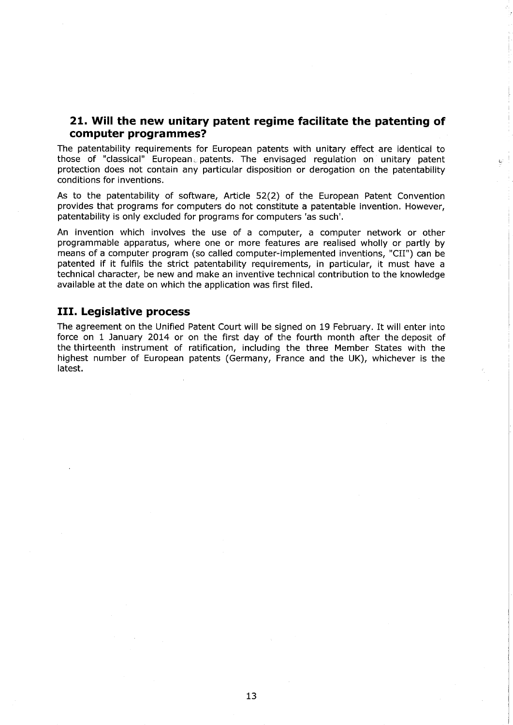## 21. Wil the new unitary patent regime faciltate the patenting of computer programmes?

The patentability requirements for European patents with unitary effect are identical to those of "classical" European, patents. The envisaged regulation on unitary patent protection does not contain any particular disposition or derogation on the patentability conditions for inventions.

L

As to the patentability of software, Article 52(2) of the European Patent Convention provides that programs for computers do not constitute a patentable invention. However, patentability is only excluded for programs for computers 'as such'.

An invention which involves the use of a computer, a computer network or other programmable apparatus, where one or more features are realised wholly or partly by means of a computer program (so called computer-implemented inventions, "CII") can be patented if it fulfils the strict patentability requirements, in particular, it must have a technical character, be new and make an inventive technical contribution to the knowledge available at the date on which the application was first filed.

#### III. Legislative process

The agreement on the Unified Patent Court will be signed on 19 February. It will enter into force on 1 January 2014 or on the first day of the fourth month after the deposit of the thirteenth instrument of ratification, including the three Member States with the highest number of European patents (Germany, France and the UK), whichever is the latest.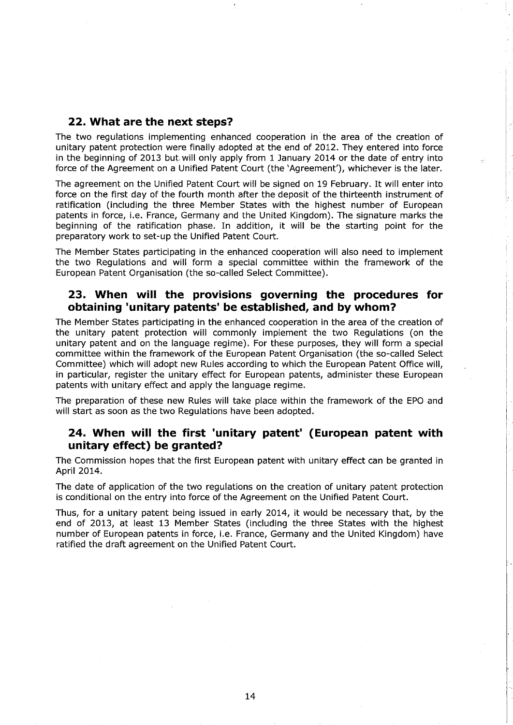#### 22. What are the next steps?

The two regulations implementing enhanced cooperation in' the area of the creation of unitary patent protection were finally adopted at the end of 2012. They entered into force in the beginning of 2013 but will only apply from 1 January 2014 or the date of entry into force of the Agreement on a Unified Patent Court (the 'Agreement'), whichever is the later.

The agreement on the Unified Patent Court will be signed on 19 February. It will enter into force on the first day of the fourth month after the deposit of the thirteenth instrument of ratification (including the three Member States with the highest number of European patents in force, i.e. France, Germany and the United Kingdom). The signature marks the beginning of the ratification phase. In addition, it will be the starting point for the preparatory work to set-up the Unified Patent Court.

The Member States participating in the enhanced cooperation will also need to implement the two Regulations and will form a special committee within the framework of the European Patent Organisation (the so-called Select Committee).

#### 23. When will the provisions governing the procedures for obtaining 'unitary patents' be established, and by whom?

The Member States participating in the enhanced cooperation in the area of the creation of the unitary patent protection will commonly implement the two Regulations (on the unitary patent and on the language regime). For these purposes, they will form a special committee within the framework of the European Patent Organisation (the so-called Select Committee) which will adopt new Rules according to which the European Patent Office will, in particular, register the unitary effect for European patents, administer these European patents with unitary effect and apply the language regime.

The preparation of these new Rules will take place within the framework of the EPO and will start as soon as the two Regulations have been adopted.

## 24. When will the first 'unitary patent' (European patent with unitary effect) be granted?

The Commission hopes that the first European patent with unitary effect can be granted in April 2014.

The date of application of the two regulations on the creation of unitary patent protection is conditional on the entry into force of the Agreement on the Unified Patent Court.

Thus, for a unitary patent being issued in early 2014, it would be necessary that, by the end of 2013, at least 13 Member States (including the three States with the highest number of European patents in force, i.e. France, Germany and the United Kingdom) have ratified the draft agreement on the Unified Patent Court.